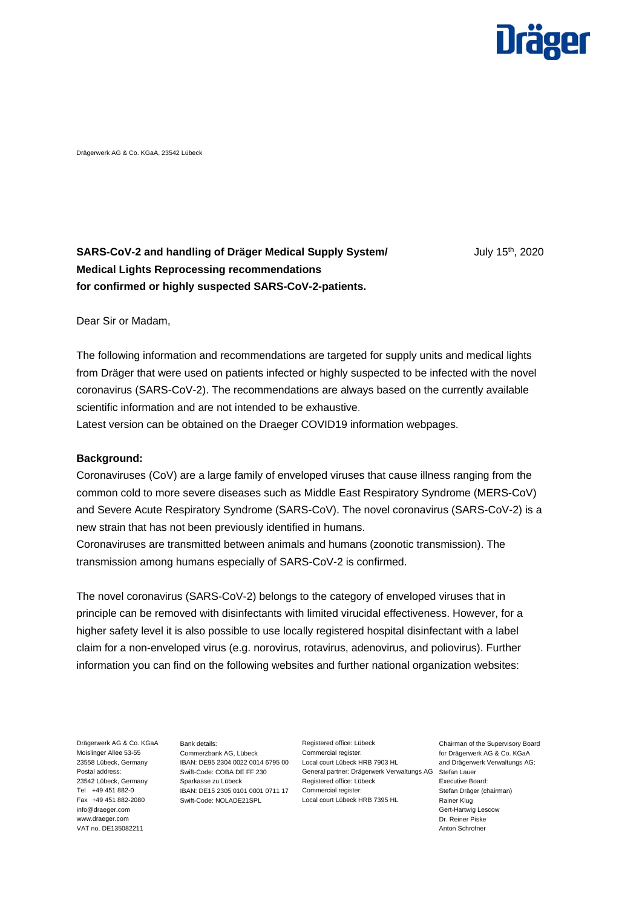

Drägerwerk AG & Co. KGaA, 23542 Lübeck

# **SARS-CoV-2 and handling of Dräger Medical Supply System/** July 15<sup>th</sup>, 2020 **Medical Lights Reprocessing recommendations for confirmed or highly suspected SARS-CoV-2-patients.**

Dear Sir or Madam,

The following information and recommendations are targeted for supply units and medical lights from Dräger that were used on patients infected or highly suspected to be infected with the novel coronavirus (SARS-CoV-2). The recommendations are always based on the currently available scientific information and are not intended to be exhaustive.

Latest version can be obtained on the Draeger COVID19 information webpages.

#### **Background:**

Coronaviruses (CoV) are a large family of enveloped viruses that cause illness ranging from the common cold to more severe diseases such as Middle East Respiratory Syndrome (MERS-CoV) and Severe Acute Respiratory Syndrome (SARS-CoV). The novel coronavirus (SARS-CoV-2) is a new strain that has not been previously identified in humans.

Coronaviruses are transmitted between animals and humans (zoonotic transmission). The transmission among humans especially of SARS-CoV-2 is confirmed.

The novel coronavirus (SARS-CoV-2) belongs to the category of enveloped viruses that in principle can be removed with disinfectants with limited virucidal effectiveness. However, for a higher safety level it is also possible to use locally registered hospital disinfectant with a label claim for a non-enveloped virus (e.g. norovirus, rotavirus, adenovirus, and poliovirus). Further information you can find on the following websites and further national organization websites:

Drägerwerk AG & Co. KGaA Moislinger Allee 53-55 23558 Lübeck, Germany Postal address: 23542 Lübeck, Germany Tel +49 451 882-0 Fax +49 451 882-2080 info@draeger.com www.draeger.com VAT no. DE135082211

Bank details: Commerzbank AG, Lübeck IBAN: DE95 2304 0022 0014 6795 00 Swift-Code: COBA DE FF 230 Sparkasse zu Lübeck IBAN: DE15 2305 0101 0001 0711 17 Commercial register: Swift-Code: NOLADE21SPL

Registered office: Lübeck Commercial register: Local court Lübeck HRB 7903 HL General partner: Drägerwerk Verwaltungs AG Registered office: Lübeck Local court Lübeck HRB 7395 HL

Chairman of the Supervisory Board for Drägerwerk AG & Co. KGaA and Drägerwerk Verwaltungs AG: Stefan Lauer Executive Board: Stefan Dräger (chairman) Rainer Klug Gert-Hartwig Lescow Dr. Reiner Piske Anton Schrofner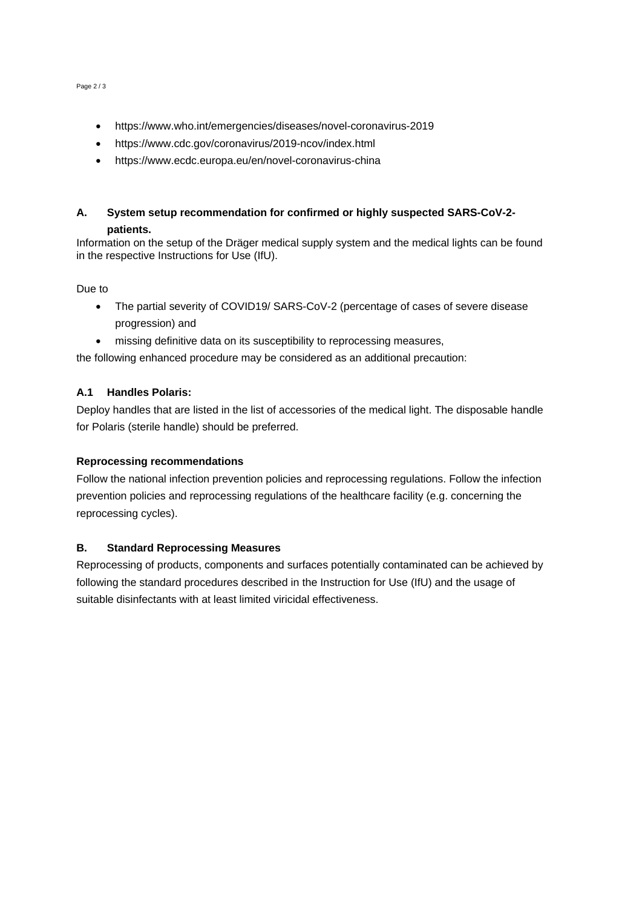- https://www.who.int/emergencies/diseases/novel-coronavirus-2019
- https://www.cdc.gov/coronavirus/2019-ncov/index.html
- https://www.ecdc.europa.eu/en/novel-coronavirus-china

## **A. System setup recommendation for confirmed or highly suspected SARS-CoV-2 patients.**

Information on the setup of the Dräger medical supply system and the medical lights can be found in the respective Instructions for Use (IfU).

#### Due to

- The partial severity of COVID19/ SARS-CoV-2 (percentage of cases of severe disease progression) and
- missing definitive data on its susceptibility to reprocessing measures,

the following enhanced procedure may be considered as an additional precaution:

#### **A.1 Handles Polaris:**

Deploy handles that are listed in the list of accessories of the medical light. The disposable handle for Polaris (sterile handle) should be preferred.

#### **Reprocessing recommendations**

Follow the national infection prevention policies and reprocessing regulations. Follow the infection prevention policies and reprocessing regulations of the healthcare facility (e.g. concerning the reprocessing cycles).

## **B. Standard Reprocessing Measures**

Reprocessing of products, components and surfaces potentially contaminated can be achieved by following the standard procedures described in the Instruction for Use (IfU) and the usage of suitable disinfectants with at least limited viricidal effectiveness.

Page 2 / 3